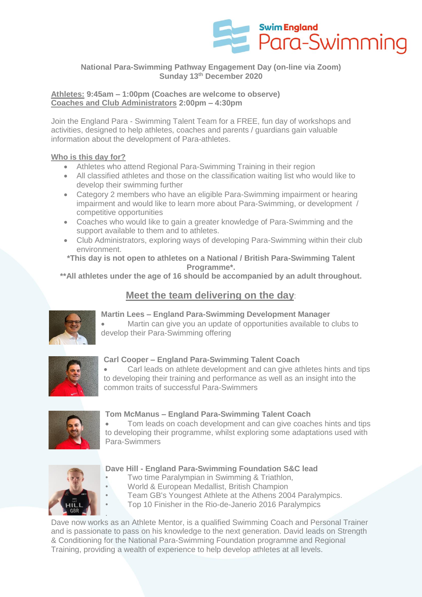

#### **National Para-Swimming Pathway Engagement Day (on-line via Zoom) Sunday 13th December 2020**

#### **Athletes: 9:45am – 1:00pm (Coaches are welcome to observe) Coaches and Club Administrators 2:00pm – 4:30pm**

Join the England Para - Swimming Talent Team for a FREE, fun day of workshops and activities, designed to help athletes, coaches and parents / guardians gain valuable information about the development of Para-athletes.

#### **Who is this day for?**

- Athletes who attend Regional Para-Swimming Training in their region
- All classified athletes and those on the classification waiting list who would like to develop their swimming further
- Category 2 members who have an eligible Para-Swimming impairment or hearing impairment and would like to learn more about Para-Swimming, or development / competitive opportunities
- Coaches who would like to gain a greater knowledge of Para-Swimming and the support available to them and to athletes.
- Club Administrators, exploring ways of developing Para-Swimming within their club environment.

**\*This day is not open to athletes on a National / British Para-Swimming Talent Programme\*.**

**\*\*All athletes under the age of 16 should be accompanied by an adult throughout.**

# **Meet the team delivering on the day**:



**Martin Lees – England Para-Swimming Development Manager** Martin can give you an update of opportunities available to clubs to develop their Para-Swimming offering



## **Carl Cooper – England Para-Swimming Talent Coach**

 Carl leads on athlete development and can give athletes hints and tips to developing their training and performance as well as an insight into the common traits of successful Para-Swimmers



## **Tom McManus – England Para-Swimming Talent Coach**

 Tom leads on coach development and can give coaches hints and tips to developing their programme, whilst exploring some adaptations used with Para-Swimmers



## **Dave Hill - England Para-Swimming Foundation S&C lead**

- Two time Paralympian in Swimming & Triathlon,
- World & European Medallist, British Champion
- Team GB's Youngest Athlete at the Athens 2004 Paralympics.
- Top 10 Finisher in the Rio-de-Janerio 2016 Paralympics

. Dave now works as an Athlete Mentor, is a qualified Swimming Coach and Personal Trainer and is passionate to pass on his knowledge to the next generation. David leads on Strength & Conditioning for the National Para-Swimming Foundation programme and Regional Training, providing a wealth of experience to help develop athletes at all levels.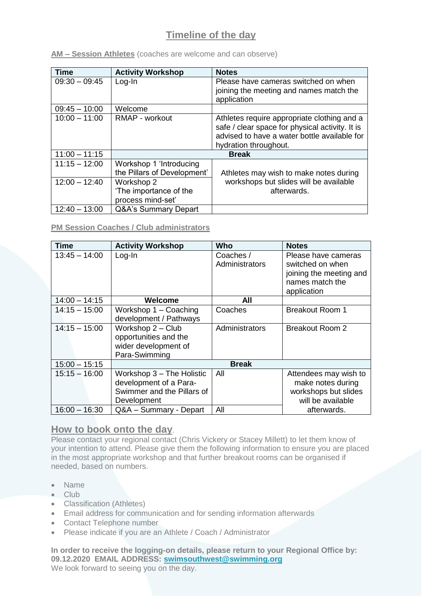# **Timeline of the day**

| AM - Session Athletes (coaches are welcome and can observe) |  |  |  |  |  |  |  |
|-------------------------------------------------------------|--|--|--|--|--|--|--|
|-------------------------------------------------------------|--|--|--|--|--|--|--|

| <b>Time</b>     | <b>Activity Workshop</b>        | <b>Notes</b>                                          |  |  |
|-----------------|---------------------------------|-------------------------------------------------------|--|--|
| $09:30 - 09:45$ | Log-In                          | Please have cameras switched on when                  |  |  |
|                 |                                 | joining the meeting and names match the               |  |  |
|                 |                                 | application                                           |  |  |
| $09:45 - 10:00$ | Welcome                         |                                                       |  |  |
| $10:00 - 11:00$ | RMAP - workout                  | Athletes require appropriate clothing and a           |  |  |
|                 |                                 | safe / clear space for physical activity. It is       |  |  |
|                 |                                 | advised to have a water bottle available for          |  |  |
|                 |                                 | hydration throughout.                                 |  |  |
| $11:00 - 11:15$ | <b>Break</b>                    |                                                       |  |  |
| $11:15 - 12:00$ | Workshop 1 'Introducing         |                                                       |  |  |
|                 | the Pillars of Development'     | Athletes may wish to make notes during                |  |  |
| $12:00 - 12:40$ | Workshop 2                      | workshops but slides will be available<br>afterwards. |  |  |
|                 | 'The importance of the          |                                                       |  |  |
|                 | process mind-set'               |                                                       |  |  |
| $12:40 - 13:00$ | <b>Q&amp;A's Summary Depart</b> |                                                       |  |  |

**PM Session Coaches / Club administrators**

| Time            | <b>Activity Workshop</b>                                                                         | Who                         | <b>Notes</b>                                                                                         |  |
|-----------------|--------------------------------------------------------------------------------------------------|-----------------------------|------------------------------------------------------------------------------------------------------|--|
| $13:45 - 14:00$ | Log-In                                                                                           | Coaches /<br>Administrators | Please have cameras<br>switched on when<br>joining the meeting and<br>names match the<br>application |  |
| $14:00 - 14:15$ | Welcome                                                                                          | All                         |                                                                                                      |  |
| $14:15 - 15:00$ | Workshop 1 - Coaching<br>development / Pathways                                                  | Coaches                     | <b>Breakout Room 1</b>                                                                               |  |
| $14:15 - 15:00$ | Workshop 2 - Club<br>opportunities and the<br>wider development of<br>Para-Swimming              | Administrators              | Breakout Room 2                                                                                      |  |
| $15:00 - 15:15$ | <b>Break</b>                                                                                     |                             |                                                                                                      |  |
| $15:15 - 16:00$ | Workshop 3 – The Holistic<br>development of a Para-<br>Swimmer and the Pillars of<br>Development | All                         | Attendees may wish to<br>make notes during<br>workshops but slides<br>will be available              |  |
| $16:00 - 16:30$ | Q&A - Summary - Depart                                                                           | All                         | afterwards.                                                                                          |  |

## **How to book onto the day**.

Please contact your regional contact (Chris Vickery or Stacey Millett) to let them know of your intention to attend. Please give them the following information to ensure you are placed in the most appropriate workshop and that further breakout rooms can be organised if needed, based on numbers.

- Name
- $\bullet$  Club
- Classification (Athletes)
- Email address for communication and for sending information afterwards
- Contact Telephone number
- Please indicate if you are an Athlete / Coach / Administrator

**In order to receive the logging-on details, please return to your Regional Office by: 09.12.2020 EMAIL ADDRESS: [swimsouthwest@swimming.org](mailto:swimsouthwest@swimming.org)** We look forward to seeing you on the day.